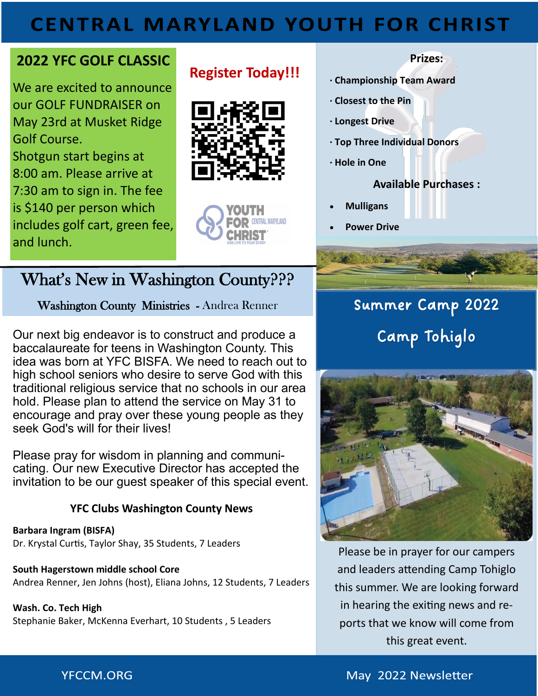## **CENTRAL MARYLAND YOUTH FOR CHRIST**

## **2022 YFC GOLF CLASSIC**

We are excited to announce our GOLF FUNDRAISER on May 23rd at Musket Ridge Golf Course. Shotgun start begins at 8:00 am. Please arrive at 7:30 am to sign in. The fee is \$140 per person which includes golf cart, green fee, and lunch.

## **Register Today!!!**





## What's New in Washington County???

Washington County Ministries - Andrea Renner

Our next big endeavor is to construct and produce a baccalaureate for teens in Washington County. This idea was born at YFC BISFA. We need to reach out to high school seniors who desire to serve God with this traditional religious service that no schools in our area hold. Please plan to attend the service on May 31 to encourage and pray over these young people as they seek God's will for their lives!

Please pray for wisdom in planning and communicating. Our new Executive Director has accepted the invitation to be our guest speaker of this special event.

## **YFC Clubs Washington County News**

**Barbara Ingram (BISFA)**  Dr. Krystal Curtis, Taylor Shay, 35 Students, 7 Leaders

**South Hagerstown middle school Core**  Andrea Renner, Jen Johns (host), Eliana Johns, 12 Students, 7 Leaders

#### **Wash. Co. Tech High**  Stephanie Baker, McKenna Everhart, 10 Students , 5 Leaders

#### **Prizes:**

- **· Championship Team Award**
- **· Closest to the Pin**
- **· Longest Drive**
- **· Top Three Individual Donors**
- **· Hole in One**

## **Available Purchases :**

- **Mulligans**
- **Power Drive**

# Summer Camp 2022 Camp Tohiglo



Please be in prayer for our campers and leaders attending Camp Tohiglo this summer. We are looking forward in hearing the exiting news and reports that we know will come from this great event.

## **YFCCM.ORG**

May 2022 Newsletter